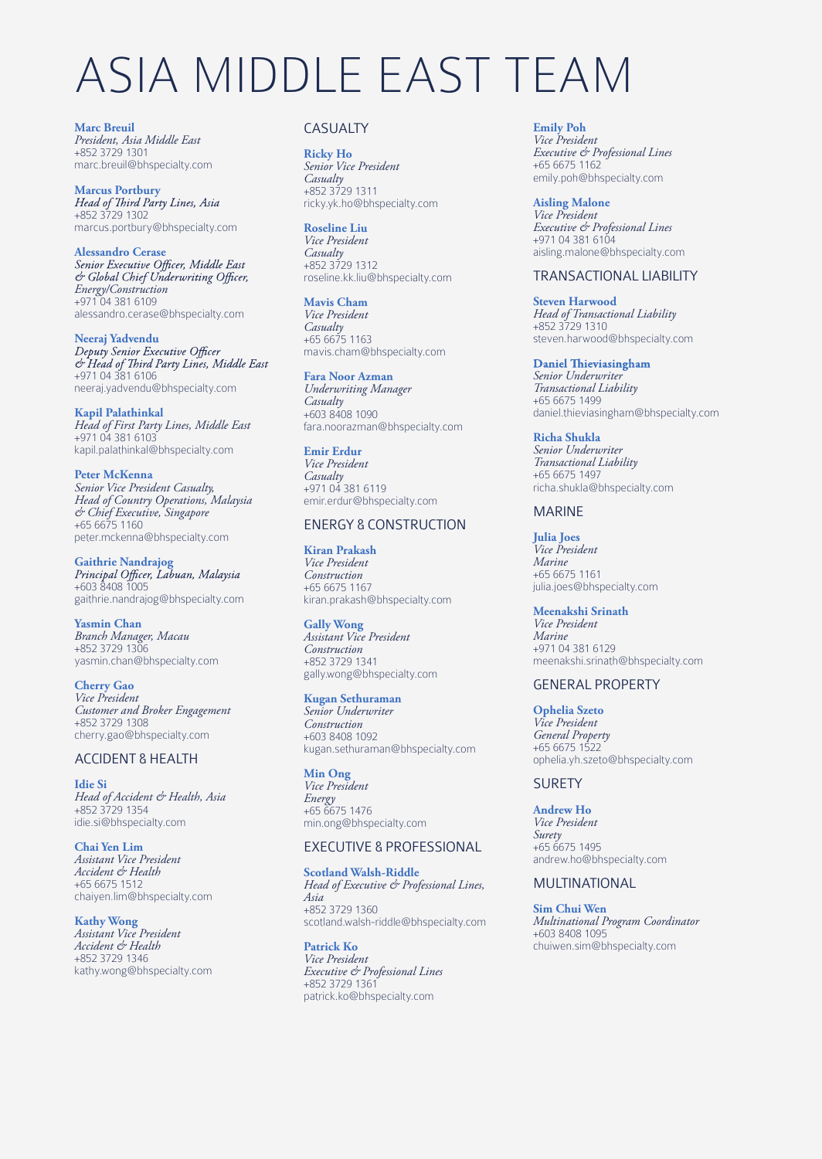# ASIA MIDDLE EAST TEAM

**Marc Breuil** *President, Asia Middle East* +852 3729 1301 marc.breuil@bhspecialty.com

**Marcus Portbury**<br>Head of Third Party Lines, Asia +852 3729 1302 marcus.portbury@bhspecialty.com

**Alessandro Cerase**<br>Senior Executive Officer, Middle East<br>& Global Chief Underwriting Officer, *Energy/Construction* +971 04 381 6109 alessandro.cerase@bhspecialty.com

**Neeraj Yadvendu** & Head of Third Party Lines, Middle East<br>+971 04 381 6106 neeraj.yadvendu@bhspecialty.com

**Kapil Palathinkal** *Head of First Party Lines, Middle East* +971 04 381 6103 kapil.palathinkal@bhspecialty.com

Peter McKenna<br>Senior Vice President Casualty, *Head of Country Operations, Malaysia*<br>& Chief Executive, Singapore<br>+65 6675 1160 peter.mckenna@bhspecialty.com

**Gaithrie Nandrajog** +603 8408 1005 gaithrie.nandrajog@bhspecialty.com

**Yasmin Chan** *Branch Manager, Macau* +852 3729 1306 yasmin.chan@bhspecialty.com

**Cherry Gao** *Vice President Customer and Broker Engagement* +852 3729 1308 cherry.gao@bhspecialty.com

#### ACCIDENT & HEALTH

**Idie Si** *Head of Accident & Health, Asia* +852 3729 1354 idie.si@bhspecialty.com

**Chai Yen Lim** *Assistant Vice President Accident & Health* +65 6675 1512 chaiyen.lim@bhspecialty.com

**Kathy Wong** *Assistant Vice President Accident & Health* +852 3729 1346 kathy.wong@bhspecialty.com

# CASUALTY

**Ricky Ho** *Senior Vice President Casualty* +852 3729 1311 ricky.yk.ho@bhspecialty.com

**Roseline Liu** *Vice President Casualty* +852 3729 1312 roseline.kk.liu@bhspecialty.com

**Mavis Cham** *Vice President Casualty* +65 6675 1163 mavis.cham@bhspecialty.com

**Fara Noor Azman** *Underwriting Manager Casualty* +603 8408 1090 fara.noorazman@bhspecialty.com

**Emir Erdur** *Vice President Casualty* +971 04 381 6119 emir.erdur@bhspecialty.com

# ENERGY & CONSTRUCTION

**Kiran Prakash** *Vice President Construction* +65 6675 1167 kiran.prakash@bhspecialty.com

**Gally Wong** *Assistant Vice President Construction* +852 3729 1341 gally.wong@bhspecialty.com

**Kugan Sethuraman** *Senior Underwriter Construction* +603 8408 1092 kugan.sethuraman@bhspecialty.com

**Min Ong** *Vice President Energy* +65 6675 1476 min.ong@bhspecialty.com

## EXECUTIVE & PROFESSIONAL

**Scotland Walsh-Riddle** *Head of Executive & Professional Lines, Asia* +852 3729 1360 scotland.walsh-riddle@bhspecialty.com

**Patrick Ko** *Vice President Executive & Professional Lines* +852 3729 1361 patrick.ko@bhspecialty.com

**Emily Poh** *Vice President Executive & Professional Lines* +65 6675 1162 emily.poh@bhspecialty.com

**Aisling Malone** *Vice President Executive & Professional Lines* +971 04 381 6104 aisling.malone@bhspecialty.com

#### TRANSACTIONAL LIABILITY

**Steven Harwood** *Head of Transactional Liability* +852 3729 1310 steven.harwood@bhspecialty.com

**Daniel Thieviasingham** *Senior Underwriter Transactional Liability* +65 6675 1499 daniel.thieviasingham@bhspecialty.com

**Richa Shukla** *Senior Underwriter Transactional Liability* +65 6675 1497 richa.shukla@bhspecialty.com

#### MARINE

**Julia Joes** *Vice President Marine* +65 6675 1161 julia.joes@bhspecialty.com

**Meenakshi Srinath** *Vice President Marine* +971 04 381 6129 meenakshi.srinath@bhspecialty.com

#### GENERAL PROPERTY

**Ophelia Szeto** *Vice President General Property* +65 6675 1522 ophelia.yh.szeto@bhspecialty.com

## **SURETY**

**Andrew Ho** *Vice President Surety* +65 6675 1495 andrew.ho@bhspecialty.com

### MULTINATIONAL

**Sim Chui Wen** *Multinational Program Coordinator* +603 8408 1095 chuiwen.sim@bhspecialty.com